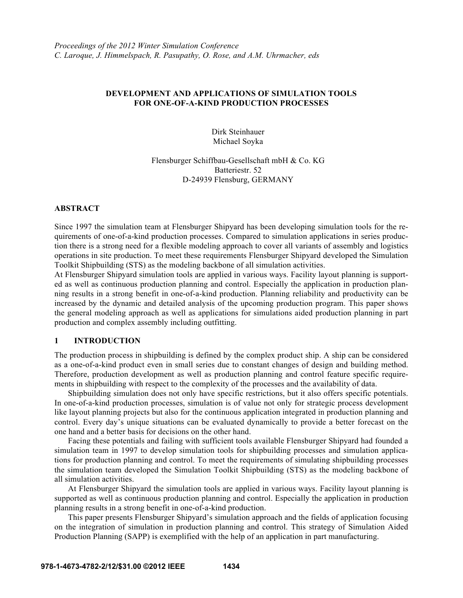### **DEVELOPMENT AND APPLICATIONS OF SIMULATION TOOLS FOR ONE-OF-A-KIND PRODUCTION PROCESSES**

Dirk Steinhauer Michael Soyka

Flensburger Schiffbau-Gesellschaft mbH & Co. KG Batteriestr. 52 D-24939 Flensburg, GERMANY

# **ABSTRACT**

Since 1997 the simulation team at Flensburger Shipyard has been developing simulation tools for the requirements of one-of-a-kind production processes. Compared to simulation applications in series production there is a strong need for a flexible modeling approach to cover all variants of assembly and logistics operations in site production. To meet these requirements Flensburger Shipyard developed the Simulation Toolkit Shipbuilding (STS) as the modeling backbone of all simulation activities.

At Flensburger Shipyard simulation tools are applied in various ways. Facility layout planning is supported as well as continuous production planning and control. Especially the application in production planning results in a strong benefit in one-of-a-kind production. Planning reliability and productivity can be increased by the dynamic and detailed analysis of the upcoming production program. This paper shows the general modeling approach as well as applications for simulations aided production planning in part production and complex assembly including outfitting.

### **1 INTRODUCTION**

The production process in shipbuilding is defined by the complex product ship. A ship can be considered as a one-of-a-kind product even in small series due to constant changes of design and building method. Therefore, production development as well as production planning and control feature specific requirements in shipbuilding with respect to the complexity of the processes and the availability of data.

Shipbuilding simulation does not only have specific restrictions, but it also offers specific potentials. In one-of-a-kind production processes, simulation is of value not only for strategic process development like layout planning projects but also for the continuous application integrated in production planning and control. Every day's unique situations can be evaluated dynamically to provide a better forecast on the one hand and a better basis for decisions on the other hand.

Facing these potentials and failing with sufficient tools available Flensburger Shipyard had founded a simulation team in 1997 to develop simulation tools for shipbuilding processes and simulation applications for production planning and control. To meet the requirements of simulating shipbuilding processes the simulation team developed the Simulation Toolkit Shipbuilding (STS) as the modeling backbone of all simulation activities.

At Flensburger Shipyard the simulation tools are applied in various ways. Facility layout planning is supported as well as continuous production planning and control. Especially the application in production planning results in a strong benefit in one-of-a-kind production.

This paper presents Flensburger Shipyard's simulation approach and the fields of application focusing on the integration of simulation in production planning and control. This strategy of Simulation Aided Production Planning (SAPP) is exemplified with the help of an application in part manufacturing.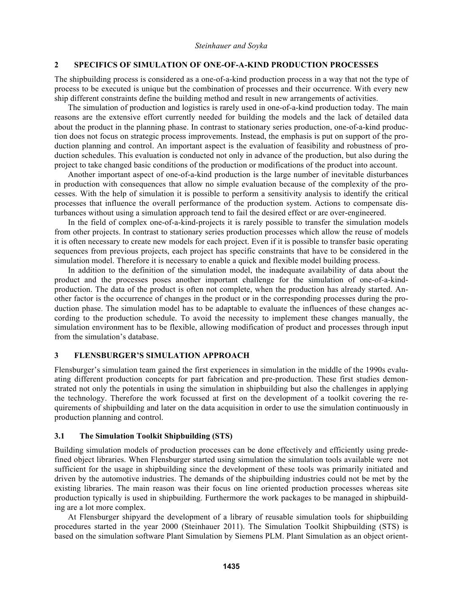# **2 SPECIFICS OF SIMULATION OF ONE-OF-A-KIND PRODUCTION PROCESSES**

The shipbuilding process is considered as a one-of-a-kind production process in a way that not the type of process to be executed is unique but the combination of processes and their occurrence. With every new ship different constraints define the building method and result in new arrangements of activities.

The simulation of production and logistics is rarely used in one-of-a-kind production today. The main reasons are the extensive effort currently needed for building the models and the lack of detailed data about the product in the planning phase. In contrast to stationary series production, one-of-a-kind production does not focus on strategic process improvements. Instead, the emphasis is put on support of the production planning and control. An important aspect is the evaluation of feasibility and robustness of production schedules. This evaluation is conducted not only in advance of the production, but also during the project to take changed basic conditions of the production or modifications of the product into account.

Another important aspect of one-of-a-kind production is the large number of inevitable disturbances in production with consequences that allow no simple evaluation because of the complexity of the processes. With the help of simulation it is possible to perform a sensitivity analysis to identify the critical processes that influence the overall performance of the production system. Actions to compensate disturbances without using a simulation approach tend to fail the desired effect or are over-engineered.

In the field of complex one-of-a-kind-projects it is rarely possible to transfer the simulation models from other projects. In contrast to stationary series production processes which allow the reuse of models it is often necessary to create new models for each project. Even if it is possible to transfer basic operating sequences from previous projects, each project has specific constraints that have to be considered in the simulation model. Therefore it is necessary to enable a quick and flexible model building process.

In addition to the definition of the simulation model, the inadequate availability of data about the product and the processes poses another important challenge for the simulation of one-of-a-kindproduction. The data of the product is often not complete, when the production has already started. Another factor is the occurrence of changes in the product or in the corresponding processes during the production phase. The simulation model has to be adaptable to evaluate the influences of these changes according to the production schedule. To avoid the necessity to implement these changes manually, the simulation environment has to be flexible, allowing modification of product and processes through input from the simulation's database.

# **3 FLENSBURGER'S SIMULATION APPROACH**

Flensburger's simulation team gained the first experiences in simulation in the middle of the 1990s evaluating different production concepts for part fabrication and pre-production. These first studies demonstrated not only the potentials in using the simulation in shipbuilding but also the challenges in applying the technology. Therefore the work focussed at first on the development of a toolkit covering the requirements of shipbuilding and later on the data acquisition in order to use the simulation continuously in production planning and control.

# **3.1 The Simulation Toolkit Shipbuilding (STS)**

Building simulation models of production processes can be done effectively and efficiently using predefined object libraries. When Flensburger started using simulation the simulation tools available were not sufficient for the usage in shipbuilding since the development of these tools was primarily initiated and driven by the automotive industries. The demands of the shipbuilding industries could not be met by the existing libraries. The main reason was their focus on line oriented production processes whereas site production typically is used in shipbuilding. Furthermore the work packages to be managed in shipbuilding are a lot more complex.

At Flensburger shipyard the development of a library of reusable simulation tools for shipbuilding procedures started in the year 2000 (Steinhauer 2011). The Simulation Toolkit Shipbuilding (STS) is based on the simulation software Plant Simulation by Siemens PLM. Plant Simulation as an object orient-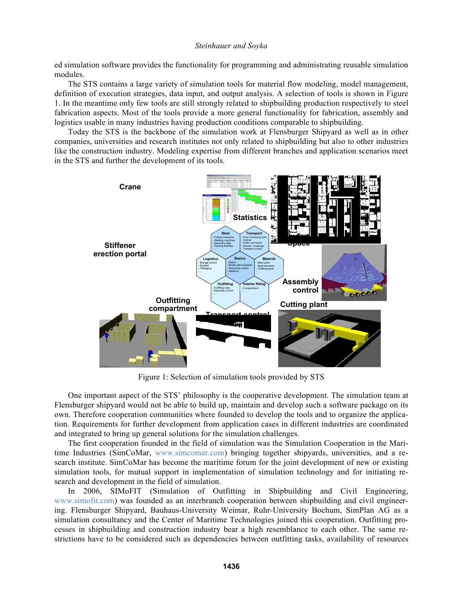ed simulation software provides the functionality for programming and administrating reusable simulation modules.

The STS contains a large variety of simulation tools for material flow modeling, model management, definition of execution strategies, data input, and output analysis. A selection of tools is shown in Figure 1. In the meantime only few tools are still strongly related to shipbuilding production respectively to steel fabrication aspects. Most of the tools provide a more general functionality for fabrication, assembly and logistics usable in many industries having production conditions comparable to shipbuilding.

Today the STS is the backbone of the simulation work at Flensburger Shipyard as well as in other companies, universities and research institutes not only related to shipbuilding but also to other industries like the construction industry. Modeling expertise from different branches and application scenarios meet in the STS and further the development of its tools.



Figure 1: Selection of simulation tools provided by STS

One important aspect of the STS' philosophy is the cooperative development. The simulation team at Flensburger shipyard would not be able to build up, maintain and develop such a software package on its own. Therefore cooperation communities where founded to develop the tools and to organize the application. Requirements for further development from application cases in different industries are coordinated and integrated to bring up general solutions for the simulation challenges.

The first cooperation founded in the field of simulation was the Simulation Cooperation in the Maritime Industries (SimCoMar, www.simcomar.com) bringing together shipyards, universities, and a research institute. SimCoMar has become the maritime forum for the joint development of new or existing simulation tools, for mutual support in implementation of simulation technology and for initiating research and development in the field of simulation.

In 2006, SIMoFIT (Simulation of Outfitting in Shipbuilding and Civil Engineering, www.simofit.com) was founded as an interbranch cooperation between shipbuilding and civil engineering. Flensburger Shipyard, Bauhaus-University Weimar, Ruhr-University Bochum, SimPlan AG as a simulation consultancy and the Center of Maritime Technologies joined this cooperation. Outfitting processes in shipbuilding and construction industry bear a high resemblance to each other. The same restrictions have to be considered such as dependencies between outfitting tasks, availability of resources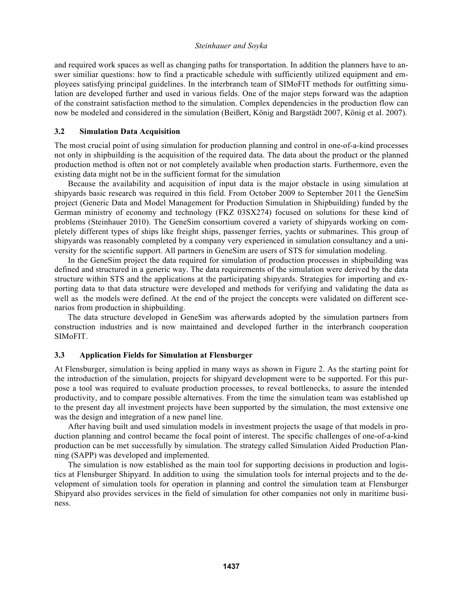and required work spaces as well as changing paths for transportation. In addition the planners have to answer similiar questions: how to find a practicable schedule with sufficiently utilized equipment and employees satisfying principal guidelines. In the interbranch team of SIMoFIT methods for outfitting simulation are developed further and used in various fields. One of the major steps forward was the adaption of the constraint satisfaction method to the simulation. Complex dependencies in the production flow can now be modeled and considered in the simulation (Beißert, König and Bargstädt 2007, König et al. 2007).

### **3.2 Simulation Data Acquisition**

The most crucial point of using simulation for production planning and control in one-of-a-kind processes not only in shipbuilding is the acquisition of the required data. The data about the product or the planned production method is often not or not completely available when production starts. Furthermore, even the existing data might not be in the sufficient format for the simulation

Because the availability and acquisition of input data is the major obstacle in using simulation at shipyards basic research was required in this field. From October 2009 to September 2011 the GeneSim project (Generic Data and Model Management for Production Simulation in Shipbuilding) funded by the German ministry of economy and technology (FKZ 03SX274) focused on solutions for these kind of problems (Steinhauer 2010). The GeneSim consortium covered a variety of shipyards working on completely different types of ships like freight ships, passenger ferries, yachts or submarines. This group of shipyards was reasonably completed by a company very experienced in simulation consultancy and a university for the scientific support. All partners in GeneSim are users of STS for simulation modeling.

In the GeneSim project the data required for simulation of production processes in shipbuilding was defined and structured in a generic way. The data requirements of the simulation were derived by the data structure within STS and the applications at the participating shipyards. Strategies for importing and exporting data to that data structure were developed and methods for verifying and validating the data as well as the models were defined. At the end of the project the concepts were validated on different scenarios from production in shipbuilding.

The data structure developed in GeneSim was afterwards adopted by the simulation partners from construction industries and is now maintained and developed further in the interbranch cooperation SIMoFIT.

### **3.3 Application Fields for Simulation at Flensburger**

At Flensburger, simulation is being applied in many ways as shown in Figure 2. As the starting point for the introduction of the simulation, projects for shipyard development were to be supported. For this purpose a tool was required to evaluate production processes, to reveal bottlenecks, to assure the intended productivity, and to compare possible alternatives. From the time the simulation team was established up to the present day all investment projects have been supported by the simulation, the most extensive one was the design and integration of a new panel line.

After having built and used simulation models in investment projects the usage of that models in production planning and control became the focal point of interest. The specific challenges of one-of-a-kind production can be met successfully by simulation. The strategy called Simulation Aided Production Planning (SAPP) was developed and implemented.

The simulation is now established as the main tool for supporting decisions in production and logistics at Flensburger Shipyard. In addition to using the simulation tools for internal projects and to the development of simulation tools for operation in planning and control the simulation team at Flensburger Shipyard also provides services in the field of simulation for other companies not only in maritime business.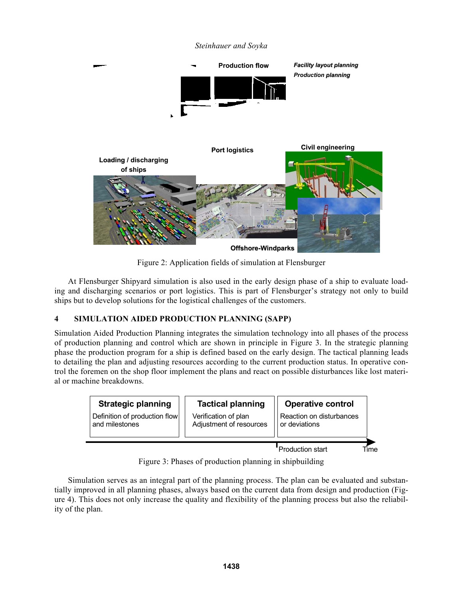

Figure 2: Application fields of simulation at Flensburger

At Flensburger Shipyard simulation is also used in the early design phase of a ship to evaluate loading and discharging scenarios or port logistics. This is part of Flensburger's strategy not only to build ships but to develop solutions for the logistical challenges of the customers.

# **4 SIMULATION AIDED PRODUCTION PLANNING (SAPP)**

Simulation Aided Production Planning integrates the simulation technology into all phases of the process of production planning and control which are shown in principle in Figure 3. In the strategic planning phase the production program for a ship is defined based on the early design. The tactical planning leads to detailing the plan and adjusting resources according to the current production status. In operative control the foremen on the shop floor implement the plans and react on possible disturbances like lost material or machine breakdowns.



Figure 3: Phases of production planning in shipbuilding

Simulation serves as an integral part of the planning process. The plan can be evaluated and substantially improved in all planning phases, always based on the current data from design and production (Figure 4). This does not only increase the quality and flexibility of the planning process but also the reliability of the plan.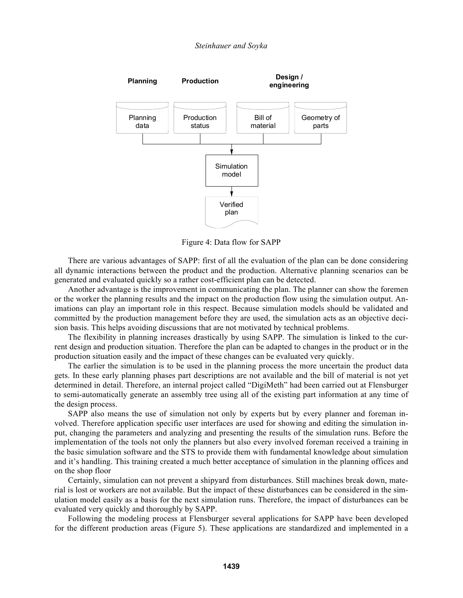

Figure 4: Data flow for SAPP

There are various advantages of SAPP: first of all the evaluation of the plan can be done considering all dynamic interactions between the product and the production. Alternative planning scenarios can be generated and evaluated quickly so a rather cost-efficient plan can be detected.

Another advantage is the improvement in communicating the plan. The planner can show the foremen or the worker the planning results and the impact on the production flow using the simulation output. Animations can play an important role in this respect. Because simulation models should be validated and committed by the production management before they are used, the simulation acts as an objective decision basis. This helps avoiding discussions that are not motivated by technical problems.

The flexibility in planning increases drastically by using SAPP. The simulation is linked to the current design and production situation. Therefore the plan can be adapted to changes in the product or in the production situation easily and the impact of these changes can be evaluated very quickly.

The earlier the simulation is to be used in the planning process the more uncertain the product data gets. In these early planning phases part descriptions are not available and the bill of material is not yet determined in detail. Therefore, an internal project called "DigiMeth" had been carried out at Flensburger to semi-automatically generate an assembly tree using all of the existing part information at any time of the design process.

SAPP also means the use of simulation not only by experts but by every planner and foreman involved. Therefore application specific user interfaces are used for showing and editing the simulation input, changing the parameters and analyzing and presenting the results of the simulation runs. Before the implementation of the tools not only the planners but also every involved foreman received a training in the basic simulation software and the STS to provide them with fundamental knowledge about simulation and it's handling. This training created a much better acceptance of simulation in the planning offices and on the shop floor

Certainly, simulation can not prevent a shipyard from disturbances. Still machines break down, material is lost or workers are not available. But the impact of these disturbances can be considered in the simulation model easily as a basis for the next simulation runs. Therefore, the impact of disturbances can be evaluated very quickly and thoroughly by SAPP.

Following the modeling process at Flensburger several applications for SAPP have been developed for the different production areas (Figure 5). These applications are standardized and implemented in a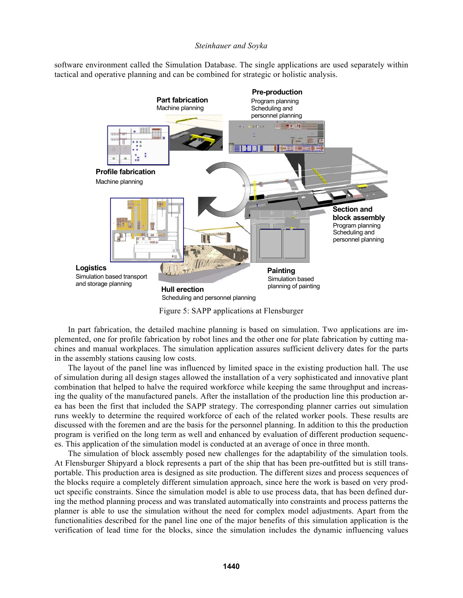software environment called the Simulation Database. The single applications are used separately within tactical and operative planning and can be combined for strategic or holistic analysis.



Figure 5: SAPP applications at Flensburger

In part fabrication, the detailed machine planning is based on simulation. Two applications are implemented, one for profile fabrication by robot lines and the other one for plate fabrication by cutting machines and manual workplaces. The simulation application assures sufficient delivery dates for the parts in the assembly stations causing low costs.

The layout of the panel line was influenced by limited space in the existing production hall. The use of simulation during all design stages allowed the installation of a very sophisticated and innovative plant combination that helped to halve the required workforce while keeping the same throughput and increasing the quality of the manufactured panels. After the installation of the production line this production area has been the first that included the SAPP strategy. The corresponding planner carries out simulation runs weekly to determine the required workforce of each of the related worker pools. These results are discussed with the foremen and are the basis for the personnel planning. In addition to this the production program is verified on the long term as well and enhanced by evaluation of different production sequences. This application of the simulation model is conducted at an average of once in three month.

The simulation of block assembly posed new challenges for the adaptability of the simulation tools. At Flensburger Shipyard a block represents a part of the ship that has been pre-outfitted but is still transportable. This production area is designed as site production. The different sizes and process sequences of the blocks require a completely different simulation approach, since here the work is based on very product specific constraints. Since the simulation model is able to use process data, that has been defined during the method planning process and was translated automatically into constraints and process patterns the planner is able to use the simulation without the need for complex model adjustments. Apart from the functionalities described for the panel line one of the major benefits of this simulation application is the verification of lead time for the blocks, since the simulation includes the dynamic influencing values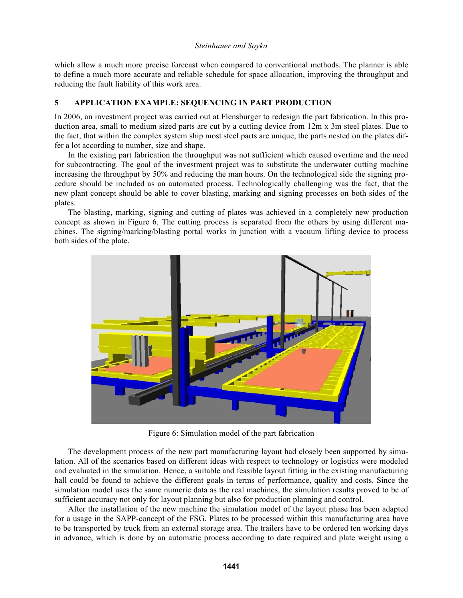which allow a much more precise forecast when compared to conventional methods. The planner is able to define a much more accurate and reliable schedule for space allocation, improving the throughput and reducing the fault liability of this work area.

# **5 APPLICATION EXAMPLE: SEQUENCING IN PART PRODUCTION**

In 2006, an investment project was carried out at Flensburger to redesign the part fabrication. In this production area, small to medium sized parts are cut by a cutting device from 12m x 3m steel plates. Due to the fact, that within the complex system ship most steel parts are unique, the parts nested on the plates differ a lot according to number, size and shape.

In the existing part fabrication the throughput was not sufficient which caused overtime and the need for subcontracting. The goal of the investment project was to substitute the underwater cutting machine increasing the throughput by 50% and reducing the man hours. On the technological side the signing procedure should be included as an automated process. Technologically challenging was the fact, that the new plant concept should be able to cover blasting, marking and signing processes on both sides of the plates.

The blasting, marking, signing and cutting of plates was achieved in a completely new production concept as shown in Figure 6. The cutting process is separated from the others by using different machines. The signing/marking/blasting portal works in junction with a vacuum lifting device to process both sides of the plate.



Figure 6: Simulation model of the part fabrication

The development process of the new part manufacturing layout had closely been supported by simulation. All of the scenarios based on different ideas with respect to technology or logistics were modeled and evaluated in the simulation. Hence, a suitable and feasible layout fitting in the existing manufacturing hall could be found to achieve the different goals in terms of performance, quality and costs. Since the simulation model uses the same numeric data as the real machines, the simulation results proved to be of sufficient accuracy not only for layout planning but also for production planning and control.

After the installation of the new machine the simulation model of the layout phase has been adapted for a usage in the SAPP-concept of the FSG. Plates to be processed within this manufacturing area have to be transported by truck from an external storage area. The trailers have to be ordered ten working days in advance, which is done by an automatic process according to date required and plate weight using a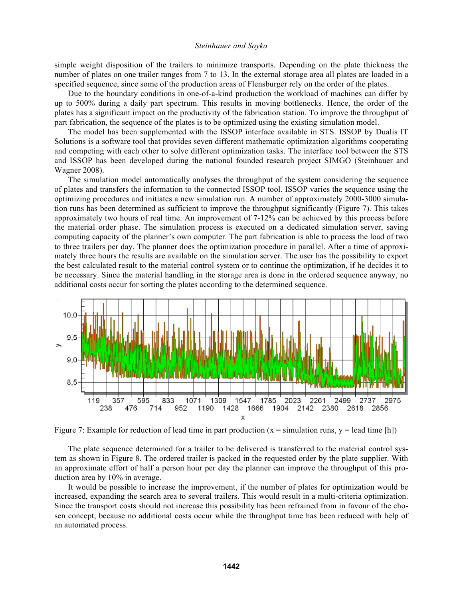simple weight disposition of the trailers to minimize transports. Depending on the plate thickness the number of plates on one trailer ranges from 7 to 13. In the external storage area all plates are loaded in a specified sequence, since some of the production areas of Flensburger rely on the order of the plates.

Due to the boundary conditions in one-of-a-kind production the workload of machines can differ by up to 500% during a daily part spectrum. This results in moving bottlenecks. Hence, the order of the plates has a significant impact on the productivity of the fabrication station. To improve the throughput of part fabrication, the sequence of the plates is to be optimized using the existing simulation model.

The model has been supplemented with the ISSOP interface available in STS. ISSOP by Dualis IT Solutions is a software tool that provides seven different mathematic optimization algorithms cooperating and competing with each other to solve different optimization tasks. The interface tool between the STS and ISSOP has been developed during the national founded research project SIMGO (Steinhauer and Wagner 2008).

The simulation model automatically analyses the throughput of the system considering the sequence of plates and transfers the information to the connected ISSOP tool. ISSOP varies the sequence using the optimizing procedures and initiates a new simulation run. A number of approximately 2000-3000 simulation runs has been determined as sufficient to improve the throughput significantly (Figure 7). This takes approximately two hours of real time. An improvement of 7-12% can be achieved by this process before the material order phase. The simulation process is executed on a dedicated simulation server, saving computing capacity of the planner's own computer. The part fabrication is able to process the load of two to three trailers per day. The planner does the optimization procedure in parallel. After a time of approximately three hours the results are available on the simulation server. The user has the possibility to export the best calculated result to the material control system or to continue the optimization, if he decides it to be necessary. Since the material handling in the storage area is done in the ordered sequence anyway, no additional costs occur for sorting the plates according to the determined sequence.



Figure 7: Example for reduction of lead time in part production  $(x =$  simulation runs,  $y =$  lead time [h])

The plate sequence determined for a trailer to be delivered is transferred to the material control system as shown in Figure 8. The ordered trailer is packed in the requested order by the plate supplier. With an approximate effort of half a person hour per day the planner can improve the throughput of this production area by 10% in average.

It would be possible to increase the improvement, if the number of plates for optimization would be increased, expanding the search area to several trailers. This would result in a multi-criteria optimization. Since the transport costs should not increase this possibility has been refrained from in favour of the chosen concept, because no additional costs occur while the throughput time has been reduced with help of an automated process.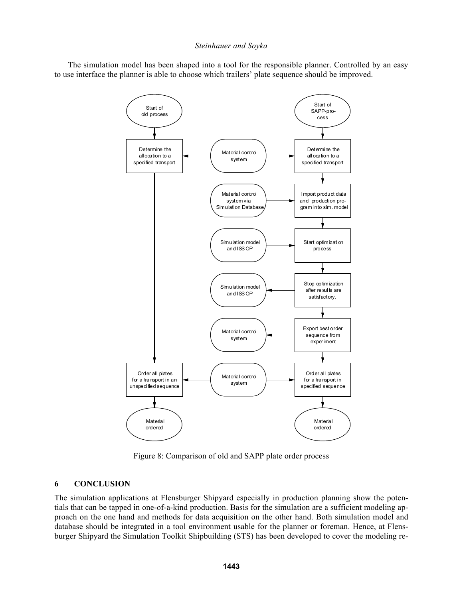The simulation model has been shaped into a tool for the responsible planner. Controlled by an easy to use interface the planner is able to choose which trailers' plate sequence should be improved.



Figure 8: Comparison of old and SAPP plate order process

# **6 CONCLUSION**

The simulation applications at Flensburger Shipyard especially in production planning show the potentials that can be tapped in one-of-a-kind production. Basis for the simulation are a sufficient modeling approach on the one hand and methods for data acquisition on the other hand. Both simulation model and database should be integrated in a tool environment usable for the planner or foreman. Hence, at Flensburger Shipyard the Simulation Toolkit Shipbuilding (STS) has been developed to cover the modeling re-